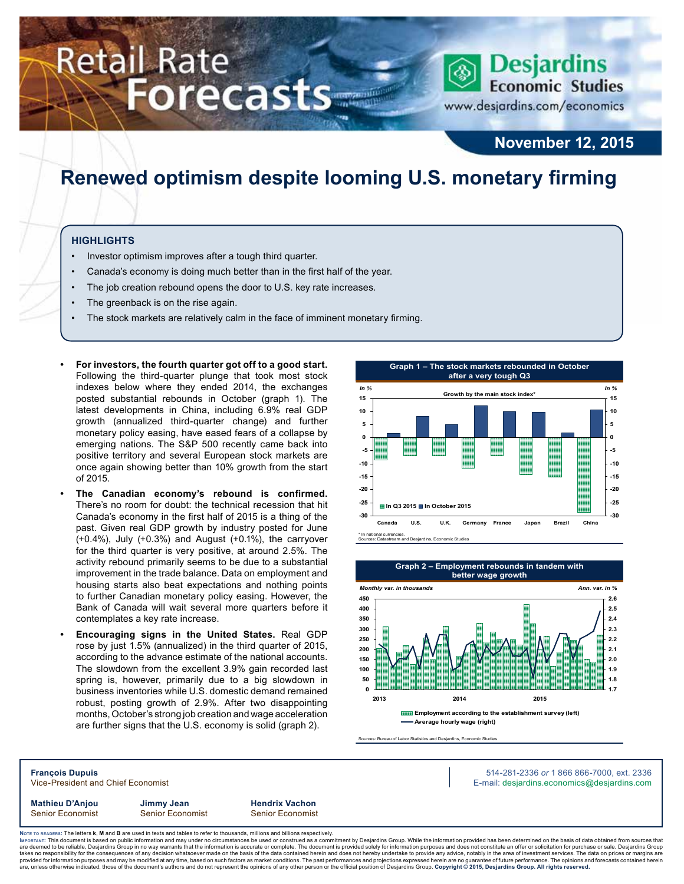# **Retail Rate Forecasts**



www.desjardins.com/economics

## **November 12, 2015**

# **Renewed optimism despite looming U.S. monetary firming**

### **Highlights**

- Investor optimism improves after a tough third quarter.
- Canada's economy is doing much better than in the first half of the year.
- The job creation rebound opens the door to U.S. key rate increases.
- The greenback is on the rise again.
- The stock markets are relatively calm in the face of imminent monetary firming.
- **• For investors, the fourth quarter got off to a good start.** Following the third-quarter plunge that took most stock indexes below where they ended 2014, the exchanges posted substantial rebounds in October (graph 1). The latest developments in China, including 6.9% real GDP growth (annualized third-quarter change) and further monetary policy easing, have eased fears of a collapse by emerging nations. The S&P 500 recently came back into positive territory and several European stock markets are once again showing better than 10% growth from the start of 2015.
- **• The Canadian economy's rebound is confirmed.** There's no room for doubt: the technical recession that hit Canada's economy in the first half of 2015 is a thing of the past. Given real GDP growth by industry posted for June (+0.4%), July (+0.3%) and August (+0.1%), the carryover for the third quarter is very positive, at around 2.5%. The activity rebound primarily seems to be due to a substantial improvement in the trade balance. Data on employment and housing starts also beat expectations and nothing points to further Canadian monetary policy easing. However, the Bank of Canada will wait several more quarters before it contemplates a key rate increase.
- **• Encouraging signs in the United States.** Real GDP rose by just 1.5% (annualized) in the third quarter of 2015, according to the advance estimate of the national accounts. The slowdown from the excellent 3.9% gain recorded last spring is, however, primarily due to a big slowdown in business inventories while U.S. domestic demand remained robust, posting growth of 2.9%. After two disappointing months, October's strong job creation and wage acceleration are further signs that the U.S. economy is solid (graph 2).





Sources: Bureau of Labor Statistics and Desjardins, Economic Studies

**François Dupuis** 514-281-2336 *or* 1 866 866-7000, ext. 2336 Vice-President and Chief Economist **E-mail: designediate and Chief Economist** E-mail: designediate economics@desjardins.com **Mathieu D'Anjou Jimmy Jean Hendrix Vachon** Senior Economist Senior Economist Senior Economist

Noте то келоекs: The letters **k, M** and **B** are used in texts and tables to refer to thousands, millions and billions respectively.<br>Імроктлит: This document is based on public information and may under no circumstances be are deemed to be reliable, Desjardins Group in no way warrants that the information is accurate or complete. The document is provided solely for information purposes and does not constitute an offer or solicitation for pur takes no responsibility for the consequences of any decision whatsoever made on the basis of the data contained herein and does not hereby undertake to provide any advice, notably in the area of investment services. The da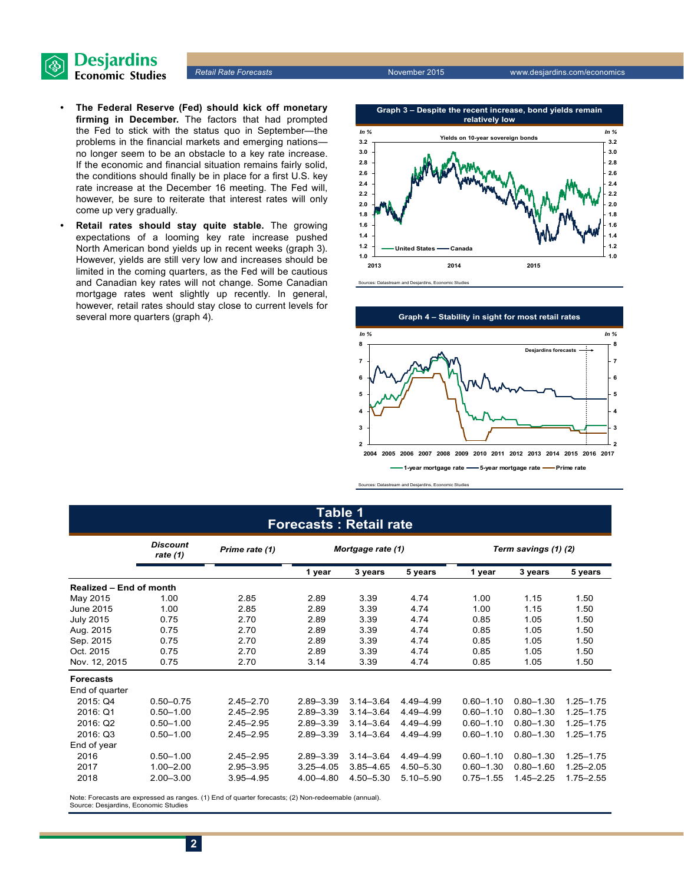

- **• The Federal Reserve (Fed) should kick off monetary firming in December.** The factors that had prompted the Fed to stick with the status quo in September—the problems in the financial markets and emerging nations no longer seem to be an obstacle to a key rate increase. If the economic and financial situation remains fairly solid, the conditions should finally be in place for a first U.S. key rate increase at the December 16 meeting. The Fed will, however, be sure to reiterate that interest rates will only come up very gradually.
- **• Retail rates should stay quite stable.** The growing expectations of a looming key rate increase pushed North American bond yields up in recent weeks (graph 3). However, yields are still very low and increases should be limited in the coming quarters, as the Fed will be cautious and Canadian key rates will not change. Some Canadian mortgage rates went slightly up recently. In general, however, retail rates should stay close to current levels for several more quarters (graph 4).





Sources: Datastream and Desjardins, Economic Studies

## **table 1 Forecasts : Retail rate**

|                                | <b>Discount</b><br>Prime rate (1)<br>rate (1) |               | Mortgage rate (1) |               |               | Term savings (1) (2) |               |               |  |
|--------------------------------|-----------------------------------------------|---------------|-------------------|---------------|---------------|----------------------|---------------|---------------|--|
|                                |                                               |               | 1 year            | 3 years       | 5 years       | 1 year               | 3 years       | 5 years       |  |
| <b>Realized - End of month</b> |                                               |               |                   |               |               |                      |               |               |  |
| May 2015                       | 1.00                                          | 2.85          | 2.89              | 3.39          | 4.74          | 1.00                 | 1.15          | 1.50          |  |
| June 2015                      | 1.00                                          | 2.85          | 2.89              | 3.39          | 4.74          | 1.00                 | 1.15          | 1.50          |  |
| <b>July 2015</b>               | 0.75                                          | 2.70          | 2.89              | 3.39          | 4.74          | 0.85                 | 1.05          | 1.50          |  |
| Aug. 2015                      | 0.75                                          | 2.70          | 2.89              | 3.39          | 4.74          | 0.85                 | 1.05          | 1.50          |  |
| Sep. 2015                      | 0.75                                          | 2.70          | 2.89              | 3.39          | 4.74          | 0.85                 | 1.05          | 1.50          |  |
| Oct. 2015                      | 0.75                                          | 2.70          | 2.89              | 3.39          | 4.74          | 0.85                 | 1.05          | 1.50          |  |
| Nov. 12, 2015                  | 0.75                                          | 2.70          | 3.14              | 3.39          | 4.74          | 0.85                 | 1.05          | 1.50          |  |
| <b>Forecasts</b>               |                                               |               |                   |               |               |                      |               |               |  |
| End of quarter                 |                                               |               |                   |               |               |                      |               |               |  |
| 2015: Q4                       | $0.50 - 0.75$                                 | $2.45 - 2.70$ | 2.89-3.39         | $3.14 - 3.64$ | 4.49-4.99     | $0.60 - 1.10$        | $0.80 - 1.30$ | $1.25 - 1.75$ |  |
| 2016: Q1                       | $0.50 - 1.00$                                 | $2.45 - 2.95$ | $2.89 - 3.39$     | $3.14 - 3.64$ | 4.49 - 4.99   | $0.60 - 1.10$        | $0.80 - 1.30$ | $1.25 - 1.75$ |  |
| 2016: Q2                       | $0.50 - 1.00$                                 | $2.45 - 2.95$ | $2.89 - 3.39$     | $3.14 - 3.64$ | 4.49 - 4.99   | $0.60 - 1.10$        | $0.80 - 1.30$ | $1.25 - 1.75$ |  |
| 2016: Q3                       | $0.50 - 1.00$                                 | $2.45 - 2.95$ | $2.89 - 3.39$     | $3.14 - 3.64$ | 4.49 - 4.99   | $0.60 - 1.10$        | $0.80 - 1.30$ | $1.25 - 1.75$ |  |
| End of year                    |                                               |               |                   |               |               |                      |               |               |  |
| 2016                           | $0.50 - 1.00$                                 | $2.45 - 2.95$ | $2.89 - 3.39$     | $3.14 - 3.64$ | 4.49 - 4.99   | $0.60 - 1.10$        | $0.80 - 1.30$ | $1.25 - 1.75$ |  |
| 2017                           | $1.00 - 2.00$                                 | 2.95-3.95     | $3.25 - 4.05$     | $3.85 - 4.65$ | 4.50-5.30     | $0.60 - 1.30$        | $0.80 - 1.60$ | $1.25 - 2.05$ |  |
| 2018                           | $2.00 - 3.00$                                 | $3.95 - 4.95$ | 4.00-4.80         | 4.50 - 5.30   | $5.10 - 5.90$ | $0.75 - 1.55$        | $1.45 - 2.25$ | $1.75 - 2.55$ |  |

Note: Forecasts are expressed as ranges. (1) End of quarter forecasts; (2) Non-redeemable (annual). Source: Desjardins, Economic Studies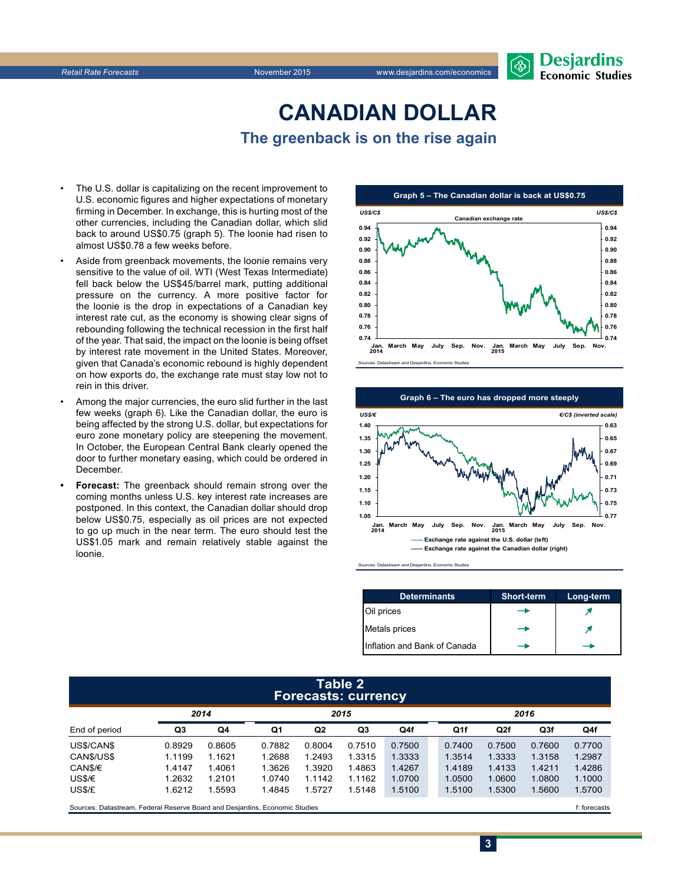

# **CanadiAn Dollar The greenback is on the rise again**

- The U.S. dollar is capitalizing on the recent improvement to U.S. economic figures and higher expectations of monetary firming in December. In exchange, this is hurting most of the other currencies, including the Canadian dollar, which slid back to around US\$0.75 (graph 5). The loonie had risen to almost US\$0.78 a few weeks before.
- Aside from greenback movements, the loonie remains very sensitive to the value of oil. WTI (West Texas Intermediate) fell back below the US\$45/barrel mark, putting additional pressure on the currency. A more positive factor for the loonie is the drop in expectations of a Canadian key interest rate cut, as the economy is showing clear signs of rebounding following the technical recession in the first half of the year. That said, the impact on the loonie is being offset by interest rate movement in the United States. Moreover, given that Canada's economic rebound is highly dependent on how exports do, the exchange rate must stay low not to rein in this driver.
- Among the major currencies, the euro slid further in the last few weeks (graph 6). Like the Canadian dollar, the euro is being affected by the strong U.S. dollar, but expectations for euro zone monetary policy are steepening the movement. In October, the European Central Bank clearly opened the door to further monetary easing, which could be ordered in **December**
- **• Forecast:** The greenback should remain strong over the coming months unless U.S. key interest rate increases are postponed. In this context, the Canadian dollar should drop below US\$0.75, especially as oil prices are not expected to go up much in the near term. The euro should test the US\$1.05 mark and remain relatively stable against the loonie.





and Desjardins, Econ

| <b>Determinants</b>          | <b>Short-term</b> | Long-term |
|------------------------------|-------------------|-----------|
| Oil prices                   |                   |           |
| Metals prices                |                   |           |
| Inflation and Bank of Canada |                   |           |

**3**

#### **table 2 Forecasts: currency**

|               | 2014   |        | 2015   |                |        |        | 2016   |                 |        |        |
|---------------|--------|--------|--------|----------------|--------|--------|--------|-----------------|--------|--------|
| End of period | Q3     | Q4     | Q1     | Q <sub>2</sub> | Q3     | Q4f    | Q1f    | Q <sub>2f</sub> | Q3f    | Q4f    |
| US\$/CAN\$    | 0.8929 | 0.8605 | 0.7882 | 0.8004         | 0.7510 | 0.7500 | 0.7400 | 0.7500          | 0.7600 | 0.7700 |
| CAN\$/US\$    | 1.1199 | 1.1621 | 1.2688 | 1.2493         | 1.3315 | 1.3333 | 1.3514 | 1.3333          | 1.3158 | 1.2987 |
| CAN\$/€       | 1.4147 | 1.4061 | 1.3626 | 1.3920         | 1.4863 | 1.4267 | 1.4189 | 1.4133          | 1.4211 | 1.4286 |
| US\$/€        | 1.2632 | 1.2101 | 1.0740 | 1.1142         | 1.1162 | 1.0700 | 1.0500 | 1.0600          | 1.0800 | 1.1000 |
| US\$/£        | 1.6212 | .5593  | 1.4845 | 1.5727         | 1.5148 | 1.5100 | 1.5100 | .5300           | 1.5600 | 1.5700 |

Sources: Datastream, Federal Reserve Board and Desjardins, Economic Studies files for example of the casts f: forecasts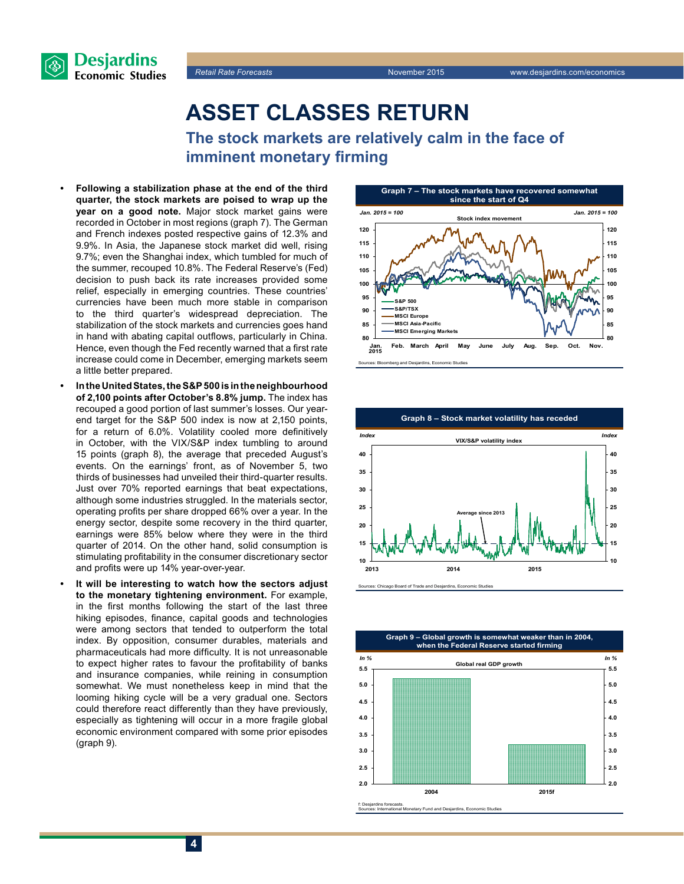

*Retail Rate Forecasts* November 2015 www.desjardins.com/economics



**The stock markets are relatively calm in the face of imminent monetary firming**

- **• Following a stabilization phase at the end of the third quarter, the stock markets are poised to wrap up the year on a good note.** Major stock market gains were recorded in October in most regions (graph 7). The German and French indexes posted respective gains of 12.3% and 9.9%. In Asia, the Japanese stock market did well, rising 9.7%; even the Shanghai index, which tumbled for much of the summer, recouped 10.8%. The Federal Reserve's (Fed) decision to push back its rate increases provided some relief, especially in emerging countries. These countries' currencies have been much more stable in comparison to the third quarter's widespread depreciation. The stabilization of the stock markets and currencies goes hand in hand with abating capital outflows, particularly in China. Hence, even though the Fed recently warned that a first rate increase could come in December, emerging markets seem a little better prepared.
- **• In the UnitedStates, the S&P500 is in the neighbourhood of 2,100 points after October's 8.8% jump.** The index has recouped a good portion of last summer's losses. Our yearend target for the S&P 500 index is now at 2,150 points, for a return of 6.0%. Volatility cooled more definitively in October, with the VIX/S&P index tumbling to around 15 points (graph 8), the average that preceded August's events. On the earnings' front, as of November 5, two thirds of businesses had unveiled their third-quarter results. Just over 70% reported earnings that beat expectations, although some industries struggled. In the materials sector, operating profits per share dropped 66% over a year. In the energy sector, despite some recovery in the third quarter, earnings were 85% below where they were in the third quarter of 2014. On the other hand, solid consumption is stimulating profitability in the consumer discretionary sector and profits were up 14% year-over-year.
- **• It will be interesting to watch how the sectors adjust to the monetary tightening environment.** For example, in the first months following the start of the last three hiking episodes, finance, capital goods and technologies were among sectors that tended to outperform the total index. By opposition, consumer durables, materials and pharmaceuticals had more difficulty. It is not unreasonable to expect higher rates to favour the profitability of banks and insurance companies, while reining in consumption somewhat. We must nonetheless keep in mind that the looming hiking cycle will be a very gradual one. Sectors could therefore react differently than they have previously, especially as tightening will occur in a more fragile global economic environment compared with some prior episodes (graph 9).